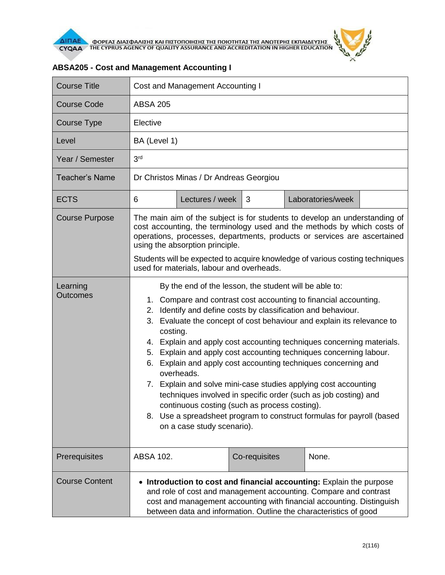

| <b>Course Title</b>   | Cost and Management Accounting I                                                                                                                                                                                                                                                                                                                                                                                                                                                                                                                                                                                                                                                                                                                                                                                              |                 |               |                   |  |  |
|-----------------------|-------------------------------------------------------------------------------------------------------------------------------------------------------------------------------------------------------------------------------------------------------------------------------------------------------------------------------------------------------------------------------------------------------------------------------------------------------------------------------------------------------------------------------------------------------------------------------------------------------------------------------------------------------------------------------------------------------------------------------------------------------------------------------------------------------------------------------|-----------------|---------------|-------------------|--|--|
| Course Code           | <b>ABSA 205</b>                                                                                                                                                                                                                                                                                                                                                                                                                                                                                                                                                                                                                                                                                                                                                                                                               |                 |               |                   |  |  |
| Course Type           | Elective                                                                                                                                                                                                                                                                                                                                                                                                                                                                                                                                                                                                                                                                                                                                                                                                                      |                 |               |                   |  |  |
| Level                 | BA (Level 1)                                                                                                                                                                                                                                                                                                                                                                                                                                                                                                                                                                                                                                                                                                                                                                                                                  |                 |               |                   |  |  |
| Year / Semester       | 3 <sup>rd</sup>                                                                                                                                                                                                                                                                                                                                                                                                                                                                                                                                                                                                                                                                                                                                                                                                               |                 |               |                   |  |  |
| <b>Teacher's Name</b> | Dr Christos Minas / Dr Andreas Georgiou                                                                                                                                                                                                                                                                                                                                                                                                                                                                                                                                                                                                                                                                                                                                                                                       |                 |               |                   |  |  |
| <b>ECTS</b>           | 6                                                                                                                                                                                                                                                                                                                                                                                                                                                                                                                                                                                                                                                                                                                                                                                                                             | Lectures / week | 3             | Laboratories/week |  |  |
| <b>Course Purpose</b> | The main aim of the subject is for students to develop an understanding of<br>cost accounting, the terminology used and the methods by which costs of<br>operations, processes, departments, products or services are ascertained<br>using the absorption principle.<br>Students will be expected to acquire knowledge of various costing techniques<br>used for materials, labour and overheads.                                                                                                                                                                                                                                                                                                                                                                                                                             |                 |               |                   |  |  |
| Learning<br>Outcomes  | By the end of the lesson, the student will be able to:<br>Compare and contrast cost accounting to financial accounting.<br>1.<br>Identify and define costs by classification and behaviour.<br>2.<br>Evaluate the concept of cost behaviour and explain its relevance to<br>3.<br>costing.<br>4. Explain and apply cost accounting techniques concerning materials.<br>Explain and apply cost accounting techniques concerning labour.<br>5.<br>Explain and apply cost accounting techniques concerning and<br>6.<br>overheads.<br>7. Explain and solve mini-case studies applying cost accounting<br>techniques involved in specific order (such as job costing) and<br>continuous costing (such as process costing).<br>8. Use a spreadsheet program to construct formulas for payroll (based<br>on a case study scenario). |                 |               |                   |  |  |
| Prerequisites         | ABSA 102.                                                                                                                                                                                                                                                                                                                                                                                                                                                                                                                                                                                                                                                                                                                                                                                                                     |                 | Co-requisites | None.             |  |  |
| <b>Course Content</b> | Introduction to cost and financial accounting: Explain the purpose<br>$\bullet$<br>and role of cost and management accounting. Compare and contrast<br>cost and management accounting with financial accounting. Distinguish<br>between data and information. Outline the characteristics of good                                                                                                                                                                                                                                                                                                                                                                                                                                                                                                                             |                 |               |                   |  |  |

## **ABSA205 - Cost and Management Accounting I**

 $\theta$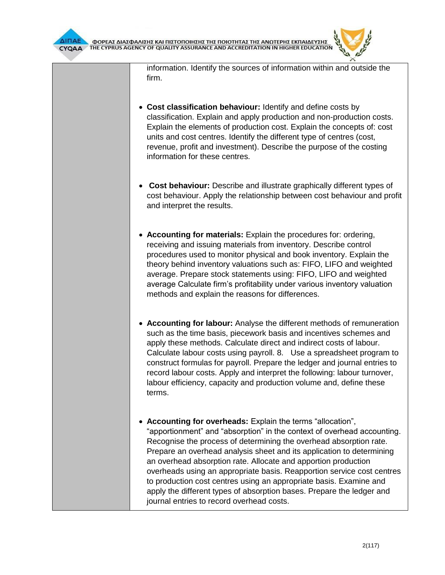information. Identify the sources of information within and outside the firm.

- **Cost classification behaviour:** Identify and define costs by classification. Explain and apply production and non-production costs. Explain the elements of production cost. Explain the concepts of: cost units and cost centres. Identify the different type of centres (cost, revenue, profit and investment). Describe the purpose of the costing information for these centres.
- **Cost behaviour:** Describe and illustrate graphically different types of cost behaviour. Apply the relationship between cost behaviour and profit and interpret the results.
- **Accounting for materials:** Explain the procedures for: ordering, receiving and issuing materials from inventory. Describe control procedures used to monitor physical and book inventory. Explain the theory behind inventory valuations such as: FIFO, LIFO and weighted average. Prepare stock statements using: FIFO, LIFO and weighted average Calculate firm's profitability under various inventory valuation methods and explain the reasons for differences.
- **Accounting for labour:** Analyse the different methods of remuneration such as the time basis, piecework basis and incentives schemes and apply these methods. Calculate direct and indirect costs of labour. Calculate labour costs using payroll. 8. Use a spreadsheet program to construct formulas for payroll. Prepare the ledger and journal entries to record labour costs. Apply and interpret the following: labour turnover, labour efficiency, capacity and production volume and, define these terms.
- **Accounting for overheads:** Explain the terms "allocation", "apportionment" and "absorption" in the context of overhead accounting. Recognise the process of determining the overhead absorption rate. Prepare an overhead analysis sheet and its application to determining an overhead absorption rate. Allocate and apportion production overheads using an appropriate basis. Reapportion service cost centres to production cost centres using an appropriate basis. Examine and apply the different types of absorption bases. Prepare the ledger and journal entries to record overhead costs.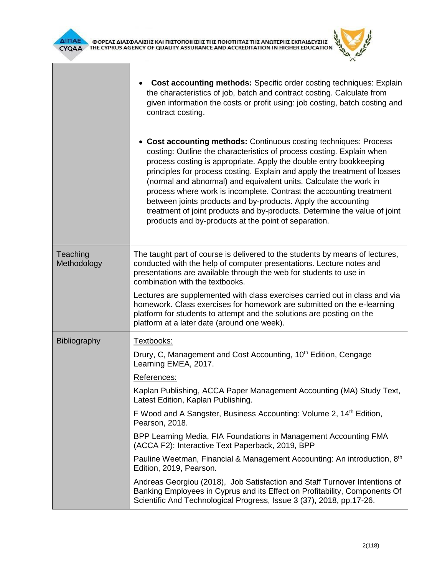



|                         | <b>Cost accounting methods:</b> Specific order costing techniques: Explain<br>the characteristics of job, batch and contract costing. Calculate from<br>given information the costs or profit using: job costing, batch costing and<br>contract costing.<br>• Cost accounting methods: Continuous costing techniques: Process<br>costing: Outline the characteristics of process costing. Explain when<br>process costing is appropriate. Apply the double entry bookkeeping<br>principles for process costing. Explain and apply the treatment of losses<br>(normal and abnormal) and equivalent units. Calculate the work in<br>process where work is incomplete. Contrast the accounting treatment<br>between joints products and by-products. Apply the accounting<br>treatment of joint products and by-products. Determine the value of joint<br>products and by-products at the point of separation. |
|-------------------------|-------------------------------------------------------------------------------------------------------------------------------------------------------------------------------------------------------------------------------------------------------------------------------------------------------------------------------------------------------------------------------------------------------------------------------------------------------------------------------------------------------------------------------------------------------------------------------------------------------------------------------------------------------------------------------------------------------------------------------------------------------------------------------------------------------------------------------------------------------------------------------------------------------------|
|                         |                                                                                                                                                                                                                                                                                                                                                                                                                                                                                                                                                                                                                                                                                                                                                                                                                                                                                                             |
| Teaching<br>Methodology | The taught part of course is delivered to the students by means of lectures,<br>conducted with the help of computer presentations. Lecture notes and<br>presentations are available through the web for students to use in<br>combination with the textbooks.                                                                                                                                                                                                                                                                                                                                                                                                                                                                                                                                                                                                                                               |
|                         | Lectures are supplemented with class exercises carried out in class and via<br>homework. Class exercises for homework are submitted on the e-learning<br>platform for students to attempt and the solutions are posting on the<br>platform at a later date (around one week).                                                                                                                                                                                                                                                                                                                                                                                                                                                                                                                                                                                                                               |
| Bibliography            | Textbooks:                                                                                                                                                                                                                                                                                                                                                                                                                                                                                                                                                                                                                                                                                                                                                                                                                                                                                                  |
|                         | Drury, C, Management and Cost Accounting, 10 <sup>th</sup> Edition, Cengage<br>Learning EMEA, 2017.                                                                                                                                                                                                                                                                                                                                                                                                                                                                                                                                                                                                                                                                                                                                                                                                         |
|                         | References:                                                                                                                                                                                                                                                                                                                                                                                                                                                                                                                                                                                                                                                                                                                                                                                                                                                                                                 |
|                         | Kaplan Publishing, ACCA Paper Management Accounting (MA) Study Text,<br>Latest Edition, Kaplan Publishing.                                                                                                                                                                                                                                                                                                                                                                                                                                                                                                                                                                                                                                                                                                                                                                                                  |
|                         | F Wood and A Sangster, Business Accounting: Volume 2, 14 <sup>th</sup> Edition,<br>Pearson, 2018.                                                                                                                                                                                                                                                                                                                                                                                                                                                                                                                                                                                                                                                                                                                                                                                                           |
|                         | BPP Learning Media, FIA Foundations in Management Accounting FMA<br>(ACCA F2): Interactive Text Paperback, 2019, BPP                                                                                                                                                                                                                                                                                                                                                                                                                                                                                                                                                                                                                                                                                                                                                                                        |
|                         | Pauline Weetman, Financial & Management Accounting: An introduction, 8 <sup>th</sup><br>Edition, 2019, Pearson.                                                                                                                                                                                                                                                                                                                                                                                                                                                                                                                                                                                                                                                                                                                                                                                             |
|                         | Andreas Georgiou (2018), Job Satisfaction and Staff Turnover Intentions of<br>Banking Employees in Cyprus and its Effect on Profitability, Components Of<br>Scientific And Technological Progress, Issue 3 (37), 2018, pp.17-26.                                                                                                                                                                                                                                                                                                                                                                                                                                                                                                                                                                                                                                                                            |